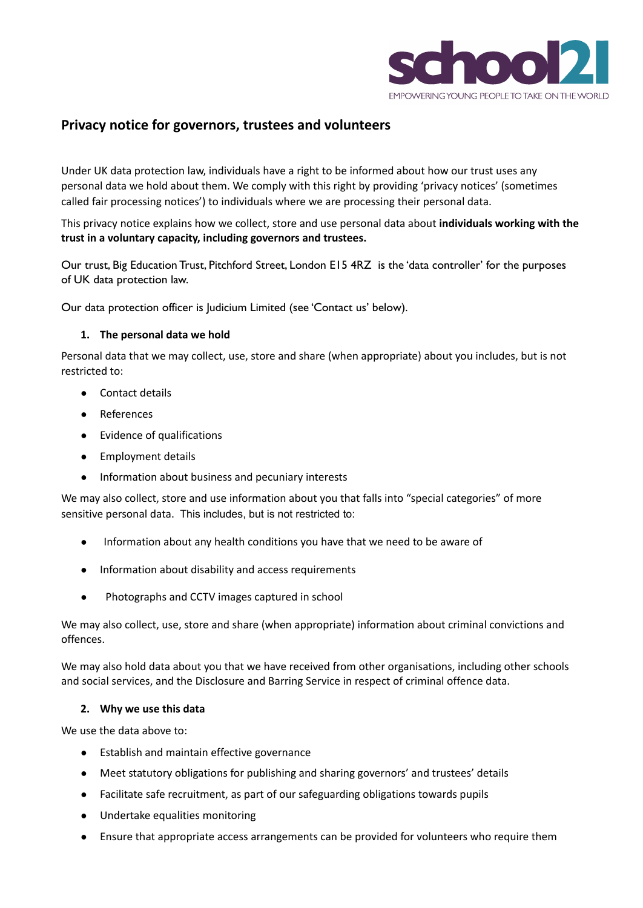

# **Privacy notice for governors, trustees and volunteers**

Under UK data protection law, individuals have a right to be informed about how our trust uses any personal data we hold about them. We comply with this right by providing 'privacy notices' (sometimes called fair processing notices') to individuals where we are processing their personal data.

This privacy notice explains how we collect, store and use personal data about **individuals working with the trust in a voluntary capacity, including governors and trustees.**

Our trust, Big Education Trust, Pitchford Street, London E15 4RZ is the 'data controller' for the purposes of UK data protection law.

Our data protection officer is Judicium Limited (see 'Contact us' below).

## **1. The personal data we hold**

Personal data that we may collect, use, store and share (when appropriate) about you includes, but is not restricted to:

- Contact details
- References
- Evidence of qualifications
- Employment details
- Information about business and pecuniary interests

We may also collect, store and use information about you that falls into "special categories" of more sensitive personal data. This includes, but is not restricted to:

- Information about any health conditions you have that we need to be aware of
- Information about disability and access requirements
- Photographs and CCTV images captured in school

We may also collect, use, store and share (when appropriate) information about criminal convictions and offences.

We may also hold data about you that we have received from other organisations, including other schools and social services, and the Disclosure and Barring Service in respect of criminal offence data.

# **2. Why we use this data**

We use the data above to:

- Establish and maintain effective governance
- Meet statutory obligations for publishing and sharing governors' and trustees' details
- Facilitate safe recruitment, as part of our safeguarding obligations towards pupils
- Undertake equalities monitoring
- Ensure that appropriate access arrangements can be provided for volunteers who require them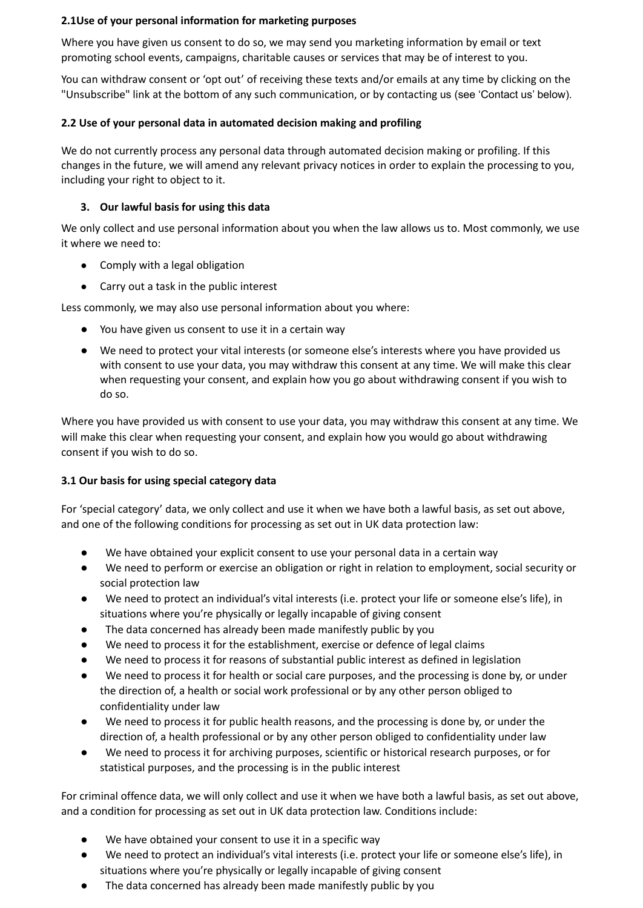# **2.1Use of your personal information for marketing purposes**

Where you have given us consent to do so, we may send you marketing information by email or text promoting school events, campaigns, charitable causes or services that may be of interest to you.

You can withdraw consent or 'opt out' of receiving these texts and/or emails at any time by clicking on the "Unsubscribe" link at the bottom of any such communication, or by contacting us (see 'Contact us' below).

## **2.2 Use of your personal data in automated decision making and profiling**

We do not currently process any personal data through automated decision making or profiling. If this changes in the future, we will amend any relevant privacy notices in order to explain the processing to you, including your right to object to it.

# **3. Our lawful basis for using this data**

We only collect and use personal information about you when the law allows us to. Most commonly, we use it where we need to:

- Comply with a legal obligation
- Carry out a task in the public interest

Less commonly, we may also use personal information about you where:

- You have given us consent to use it in a certain way
- We need to protect your vital interests (or someone else's interests where you have provided us with consent to use your data, you may withdraw this consent at any time. We will make this clear when requesting your consent, and explain how you go about withdrawing consent if you wish to do so.

Where you have provided us with consent to use your data, you may withdraw this consent at any time. We will make this clear when requesting your consent, and explain how you would go about withdrawing consent if you wish to do so.

#### **3.1 Our basis for using special category data**

For 'special category' data, we only collect and use it when we have both a lawful basis, as set out above, and one of the following conditions for processing as set out in UK data protection law:

- We have obtained your explicit consent to use your personal data in a certain way
- We need to perform or exercise an obligation or right in relation to employment, social security or social protection law
- We need to protect an individual's vital interests (i.e. protect your life or someone else's life), in situations where you're physically or legally incapable of giving consent
- The data concerned has already been made manifestly public by you
- We need to process it for the establishment, exercise or defence of legal claims
- We need to process it for reasons of substantial public interest as defined in legislation
- We need to process it for health or social care purposes, and the processing is done by, or under the direction of, a health or social work professional or by any other person obliged to confidentiality under law
- We need to process it for public health reasons, and the processing is done by, or under the direction of, a health professional or by any other person obliged to confidentiality under law
- We need to process it for archiving purposes, scientific or historical research purposes, or for statistical purposes, and the processing is in the public interest

For criminal offence data, we will only collect and use it when we have both a lawful basis, as set out above, and a condition for processing as set out in UK data protection law. Conditions include:

- We have obtained your consent to use it in a specific way
- We need to protect an individual's vital interests (i.e. protect your life or someone else's life), in situations where you're physically or legally incapable of giving consent
- The data concerned has already been made manifestly public by you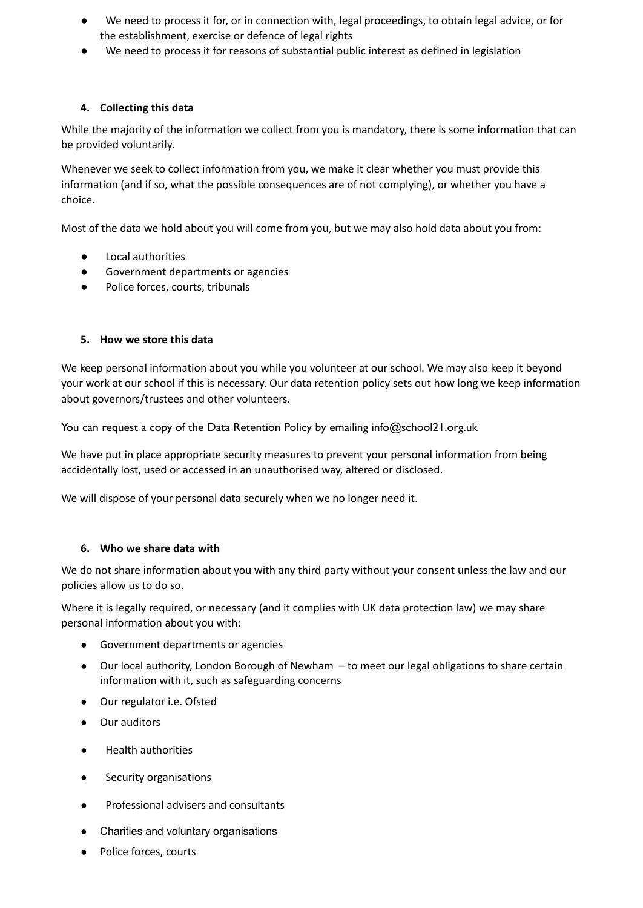- We need to process it for, or in connection with, legal proceedings, to obtain legal advice, or for the establishment, exercise or defence of legal rights
- We need to process it for reasons of substantial public interest as defined in legislation

### **4. Collecting this data**

While the majority of the information we collect from you is mandatory, there is some information that can be provided voluntarily.

Whenever we seek to collect information from you, we make it clear whether you must provide this information (and if so, what the possible consequences are of not complying), or whether you have a choice.

Most of the data we hold about you will come from you, but we may also hold data about you from:

- Local authorities
- Government departments or agencies
- Police forces, courts, tribunals

#### **5. How we store this data**

We keep personal information about you while you volunteer at our school. We may also keep it beyond your work at our school if this is necessary. Our data retention policy sets out how long we keep information about governors/trustees and other volunteers.

You can request a copy of the Data Retention Policy by emailing info@school21.org.uk

We have put in place appropriate security measures to prevent your personal information from being accidentally lost, used or accessed in an unauthorised way, altered or disclosed.

We will dispose of your personal data securely when we no longer need it.

#### **6. Who we share data with**

We do not share information about you with any third party without your consent unless the law and our policies allow us to do so.

Where it is legally required, or necessary (and it complies with UK data protection law) we may share personal information about you with:

- Government departments or agencies
- Our local authority, London Borough of Newham to meet our legal obligations to share certain information with it, such as safeguarding concerns
- Our regulator i.e. Ofsted
- Our auditors
- **Health authorities**
- Security organisations
- Professional advisers and consultants
- Charities and voluntary organisations
- Police forces, courts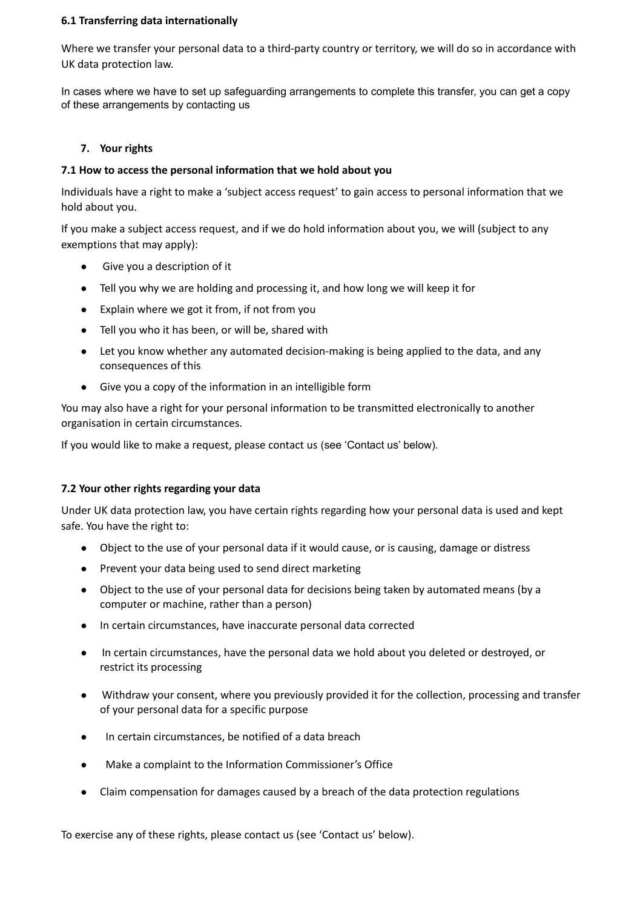### **6.1 Transferring data internationally**

Where we transfer your personal data to a third-party country or territory, we will do so in accordance with UK data protection law.

In cases where we have to set up safeguarding arrangements to complete this transfer, you can get a copy of these arrangements by contacting us

#### **7. Your rights**

### **7.1 How to access the personal information that we hold about you**

Individuals have a right to make a 'subject access request' to gain access to personal information that we hold about you.

If you make a subject access request, and if we do hold information about you, we will (subject to any exemptions that may apply):

- Give you a description of it
- Tell you why we are holding and processing it, and how long we will keep it for
- Explain where we got it from, if not from you
- Tell you who it has been, or will be, shared with
- Let you know whether any automated decision-making is being applied to the data, and any consequences of this
- Give you a copy of the information in an intelligible form

You may also have a right for your personal information to be transmitted electronically to another organisation in certain circumstances.

If you would like to make a request, please contact us (see 'Contact us' below).

#### **7.2 Your other rights regarding your data**

Under UK data protection law, you have certain rights regarding how your personal data is used and kept safe. You have the right to:

- Object to the use of your personal data if it would cause, or is causing, damage or distress
- Prevent your data being used to send direct marketing
- Object to the use of your personal data for decisions being taken by automated means (by a computer or machine, rather than a person)
- In certain circumstances, have inaccurate personal data corrected
- In certain circumstances, have the personal data we hold about you deleted or destroyed, or restrict its processing
- Withdraw your consent, where you previously provided it for the collection, processing and transfer of your personal data for a specific purpose
- In certain circumstances, be notified of a data breach
- Make a complaint to the Information Commissioner's Office
- Claim compensation for damages caused by a breach of the data protection regulations

To exercise any of these rights, please contact us (see 'Contact us' below).